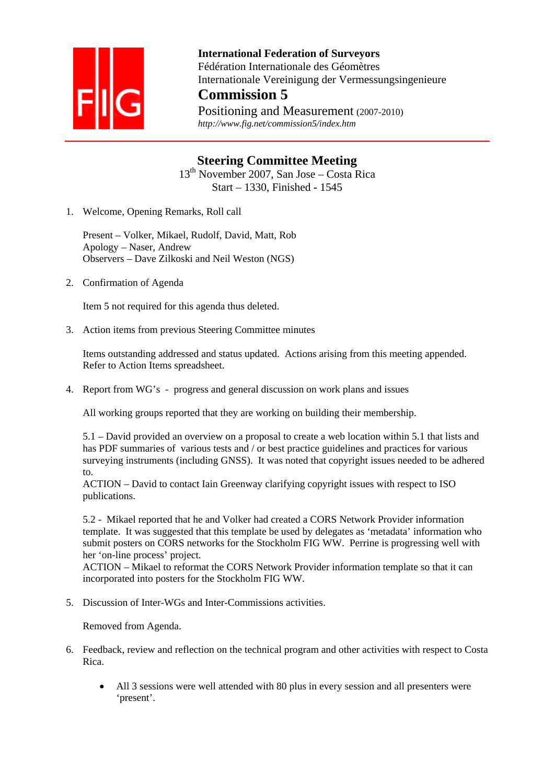

 **International Federation of Surveyors**  Fédération Internationale des Géomètres Internationale Vereinigung der Vermessungsingenieure **Commission 5**

Positioning and Measurement (2007-2010)  *http://www.fig.net/commission5/index.htm* 

## **Steering Committee Meeting**

13th November 2007, San Jose – Costa Rica Start – 1330, Finished - 1545

1. Welcome, Opening Remarks, Roll call

Present – Volker, Mikael, Rudolf, David, Matt, Rob Apology – Naser, Andrew Observers – Dave Zilkoski and Neil Weston (NGS)

2. Confirmation of Agenda

Item 5 not required for this agenda thus deleted.

3. Action items from previous Steering Committee minutes

Items outstanding addressed and status updated. Actions arising from this meeting appended. Refer to Action Items spreadsheet.

4. Report from WG's - progress and general discussion on work plans and issues

All working groups reported that they are working on building their membership.

5.1 – David provided an overview on a proposal to create a web location within 5.1 that lists and has PDF summaries of various tests and / or best practice guidelines and practices for various surveying instruments (including GNSS). It was noted that copyright issues needed to be adhered to.

ACTION – David to contact Iain Greenway clarifying copyright issues with respect to ISO publications.

5.2 - Mikael reported that he and Volker had created a CORS Network Provider information template. It was suggested that this template be used by delegates as 'metadata' information who submit posters on CORS networks for the Stockholm FIG WW. Perrine is progressing well with her 'on-line process' project.

ACTION – Mikael to reformat the CORS Network Provider information template so that it can incorporated into posters for the Stockholm FIG WW.

5. Discussion of Inter-WGs and Inter-Commissions activities.

Removed from Agenda.

- 6. Feedback, review and reflection on the technical program and other activities with respect to Costa Rica.
	- All 3 sessions were well attended with 80 plus in every session and all presenters were 'present'.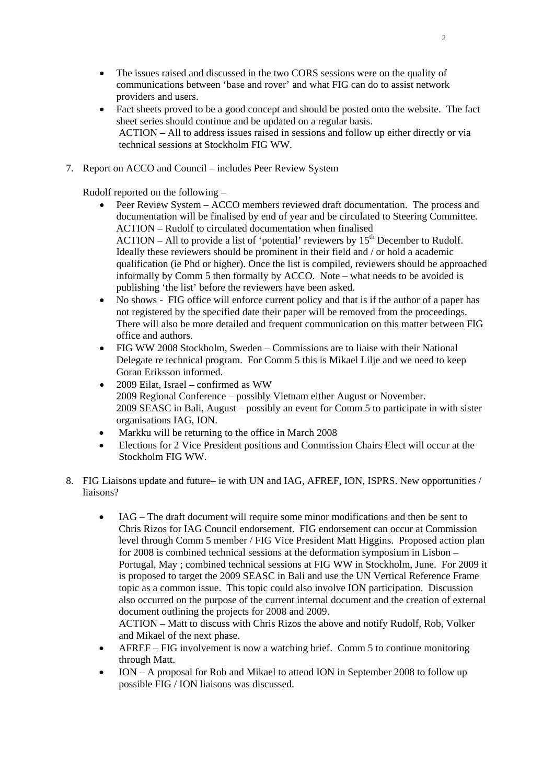- The issues raised and discussed in the two CORS sessions were on the quality of communications between 'base and rover' and what FIG can do to assist network providers and users.
- Fact sheets proved to be a good concept and should be posted onto the website. The fact sheet series should continue and be updated on a regular basis. ACTION – All to address issues raised in sessions and follow up either directly or via technical sessions at Stockholm FIG WW.
- 7. Report on ACCO and Council includes Peer Review System

Rudolf reported on the following –

- Peer Review System ACCO members reviewed draft documentation. The process and documentation will be finalised by end of year and be circulated to Steering Committee. ACTION – Rudolf to circulated documentation when finalised  $ACTION - All to provide a list of 'potential' reviews by 15<sup>th</sup> December to Rudolf.$ Ideally these reviewers should be prominent in their field and / or hold a academic qualification (ie Phd or higher). Once the list is compiled, reviewers should be approached informally by Comm 5 then formally by ACCO. Note – what needs to be avoided is publishing 'the list' before the reviewers have been asked.
- No shows FIG office will enforce current policy and that is if the author of a paper has not registered by the specified date their paper will be removed from the proceedings. There will also be more detailed and frequent communication on this matter between FIG office and authors.
- FIG WW 2008 Stockholm, Sweden Commissions are to liaise with their National Delegate re technical program. For Comm 5 this is Mikael Lilje and we need to keep Goran Eriksson informed.
- 2009 Eilat, Israel confirmed as WW 2009 Regional Conference – possibly Vietnam either August or November. 2009 SEASC in Bali, August – possibly an event for Comm 5 to participate in with sister organisations IAG, ION.
- Markku will be returning to the office in March 2008
- Elections for 2 Vice President positions and Commission Chairs Elect will occur at the Stockholm FIG WW.
- 8. FIG Liaisons update and future– ie with UN and IAG, AFREF, ION, ISPRS. New opportunities / liaisons?
	- IAG The draft document will require some minor modifications and then be sent to Chris Rizos for IAG Council endorsement. FIG endorsement can occur at Commission level through Comm 5 member / FIG Vice President Matt Higgins. Proposed action plan for 2008 is combined technical sessions at the deformation symposium in Lisbon – Portugal, May ; combined technical sessions at FIG WW in Stockholm, June. For 2009 it is proposed to target the 2009 SEASC in Bali and use the UN Vertical Reference Frame topic as a common issue. This topic could also involve ION participation. Discussion also occurred on the purpose of the current internal document and the creation of external document outlining the projects for 2008 and 2009.

ACTION – Matt to discuss with Chris Rizos the above and notify Rudolf, Rob, Volker and Mikael of the next phase.

- AFREF FIG involvement is now a watching brief. Comm 5 to continue monitoring through Matt.
- ION A proposal for Rob and Mikael to attend ION in September 2008 to follow up possible FIG / ION liaisons was discussed.